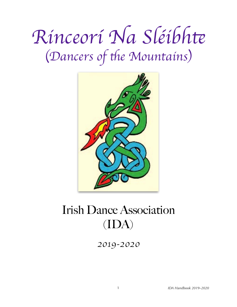# *Rinceor*í *Na Sl*é*ibh*t (Dancers of the Mountains)



## Irish Dance Association (IDA)

*2019-2020*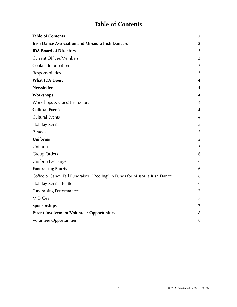## <span id="page-1-0"></span>**Table of Contents**

| <b>Table of Contents</b>                                                    | $\mathbf{2}$   |
|-----------------------------------------------------------------------------|----------------|
| <b>Irish Dance Association and Missoula Irish Dancers</b>                   | 3              |
| <b>IDA Board of Directors</b>                                               | 3              |
| <b>Current Offices/Members</b>                                              | 3              |
| Contact Information:                                                        | 3              |
| Responsibilities                                                            | 3              |
| <b>What IDA Does:</b>                                                       | 4              |
| <b>Newsletter</b>                                                           | 4              |
| Workshops                                                                   | 4              |
| Workshops & Guest Instructors                                               | 4              |
| <b>Cultural Events</b>                                                      | 4              |
| <b>Cultural Events</b>                                                      | 4              |
| Holiday Recital                                                             | 5              |
| Parades                                                                     | 5              |
| <b>Uniforms</b>                                                             | 5              |
| Uniforms                                                                    | 5              |
| <b>Group Orders</b>                                                         | 6              |
| Uniform Exchange                                                            | 6              |
| <b>Fundraising Efforts</b>                                                  | 6              |
| Coffee & Candy Fall Fundraiser: "Reeling" in Funds for Missoula Irish Dance | 6              |
| Holiday Recital Raffle                                                      | 6              |
| <b>Fundraising Performances</b>                                             | $\overline{7}$ |
| <b>MID Gear</b>                                                             | 7              |
| Sponsorships                                                                | 7              |
| <b>Parent Involvement/Volunteer Opportunities</b>                           | 8              |
| Volunteer Opportunities                                                     | 8              |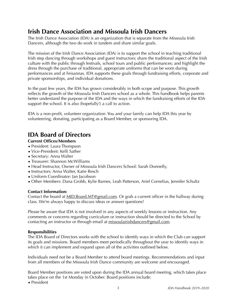## <span id="page-2-0"></span>**Irish Dance Association and Missoula Irish Dancers**

The Irish Dance Association (IDA) is an organization that is separate from the Missoula Irish Dancers, although the two do work in tandem and share similar goals.

The mission of the Irish Dance Association (IDA) is to support the school in teaching traditional Irish step dancing through workshops and guest instructors; share the traditional aspect of the Irish culture with the public through festivals, school tours and public performances; and highlight the dress through the purchase of traditional, appropriate uniforms that can be worn during performances and at Feisannas. IDA supports these goals through fundraising efforts, corporate and private sponsorships, and individual donations.

In the past few years, the IDA has grown considerably in both scope and purpose. This growth reflects the growth of the Missoula Irish Dancers school as a whole. This handbook helps parents better understand the purpose of the IDA and the ways in which the fundraising efforts of the IDA support the school. It is also (hopefully!) a call to action.

IDA is a non-profit, volunteer organization. You and your family can help IDA this year by volunteering, donating, participating as a Board Member, or sponsoring IDA.

## <span id="page-2-1"></span>**IDA Board of Directors**

## <span id="page-2-2"></span>**Current Offices/Members**

- President: Laura Thompson
- Vice-President: Kelli Sather
- Secretary: Anna Walter
- Treasurer: Shannon McWilliams
- Head Instructor, Owner of Missoula Irish Dancers School: Sarah Donnelly,
- Instructors: Anna Walter, Katie Resch
- Uniform Coordinator: Jan Jacobson
- Other Members: Dana Grobb, Kylie Barnes, Leah Patterson, Ariel Cornelius, Jennifer Schultz

## <span id="page-2-3"></span>**Contact Information:**

Contact the board at [MID.Board.MT@gmail.com.](mailto:MID.Board.MT@gmail.com) Or grab a current officer in the hallway during class. We're always happy to discuss ideas or answer questions!

Please be aware that IDA is not involved in any aspects of weekly lessons or instruction. Any comments or concerns regarding curriculum or instruction should be directed to the School by contacting an instructor or through email at [missoulairishdancers@gmail.com.](mailto:missoulairishdancers@gmail.com)

## <span id="page-2-4"></span>**Responsibilities**

The IDA Board of Directors works with the school to identify ways in which the Club can support its goals and missions. Board members meet periodically throughout the year to identify ways in which it can implement and expand upon all of the activities outlined below.

Individuals need not be a Board Member to attend board meetings. Recommendations and input from all members of the Missoula Irish Dance community are welcome and encouraged.

Board Member positions are voted upon during the IDA annual board meeting, which takes place takes place on the 1st Monday in October. Board positions include:

• President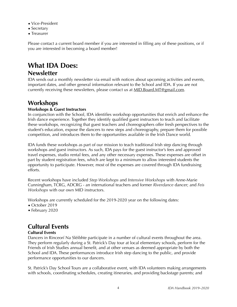- Vice-President
- Secretary
- Treasurer

Please contact a current board member if you are interested in filling any of these positions, or if you are interested in becoming a board member!

## <span id="page-3-0"></span>**What IDA Does:**

## <span id="page-3-1"></span>**Newsletter**

IDA sends out a monthly newsletter via email with notices about upcoming activities and events, important dates, and other general information relevant to the School and IDA. If you are not currently receiving these newsletters, please contact us at [MID.Board.MT@gmail.com.](mailto:MID.Board.MT@gmail.com)

## <span id="page-3-2"></span>**Workshops**

## <span id="page-3-3"></span>**Workshops & Guest Instructors**

In conjunction with the School, IDA identifies workshop opportunities that enrich and enhance the Irish dance experience. Together they identify qualified guest instructors to teach and facilitate these workshops, recognizing that guest teachers and choreographers offer fresh perspectives to the student's education, expose the dancers to new steps and choreography, prepare them for possible competition, and introduces them to the opportunities available in the Irish Dance world.

IDA funds these workshops as part of our mission to teach traditional Irish step dancing through workshops and guest instructors. As such, IDA pays for the guest instructor's fees and approved travel expenses, studio rental fees, and any other necessary expenses. These expenses are offset in part by student registration fees, which are kept to a minimum to allow interested students the opportunity to participate. However, most of the expenses are covered through IDA fundraising efforts.

Recent workshops have included *Step Workshops* and *Intensive Workshops* with Anne-Marie Cunningham, TCRG, ADCRG - an international teachers and former *Riverdance* dancer; and *Feis Workshops* with our own MID instructors.

Workshops are currently scheduled for the 2019-2020 year on the following dates:

- October 2019
- February 2020

## <span id="page-3-4"></span>**Cultural Events**

## <span id="page-3-5"></span>**Cultural Events**

Dancers in Rinceorí Na Sléibhte participate in a number of cultural events throughout the area. They perform regularly during a St. Patrick's Day tour at local elementary schools, perform for the Friends of Irish Studies annual benefit, and at other venues as deemed appropriate by both the School and IDA. These performances introduce Irish step dancing to the public, and provide performance opportunities to our dancers.

St. Patrick's Day School Tours are a collaborative event, with IDA volunteers making arrangements with schools, coordinating schedules, creating itineraries, and providing backstage parents; and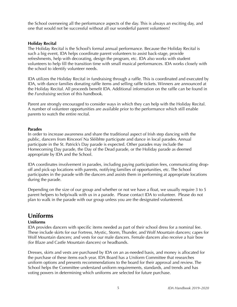the School overseeing all the performance aspects of the day. This is always an exciting day, and one that would not be successful without all our wonderful parent volunteers!

#### <span id="page-4-0"></span>**Holiday Recital**

The Holiday Recital is the School's formal annual performance. Because the Holiday Recital is such a big event, IDA helps coordinate parent volunteers to assist back-stage, provide refreshments, help with decorating, design the program, etc. IDA also works with student volunteers to help fill the transition time with small musical performances. IDA works closely with the school to identify volunteer needs.

IDA utilizes the Holiday Recital in fundraising through a raffle. This is coordinated and executed by IDA, with dance families donating raffle items and selling raffle tickets. Winners are announced at the Holiday Recital. All proceeds benefit IDA. Additional information on the raffle can be found in the *Fundraising* section of this handbook.

Parent are strongly encouraged to consider ways in which they can help with the Holiday Recital. A number of volunteer opportunities are available prior to the performance which still enable parents to watch the entire recital.

#### <span id="page-4-1"></span>**Parades**

In order to increase awareness and share the traditional aspect of Irish step dancing with the public, dancers from Rinceorí Na Sléibhte participate and dance in local parades. Annual participate in the St. Patrick's Day parade is expected. Other parades may include the Homecoming Day parade, the Day of the Dead parade, or the Holiday parade as deemed appropriate by IDA and the School.

IDA coordinates involvement in parades, including paying participation fees, communicating dropoff and pick-up locations with parents, notifying families of opportunities, etc. The School participates in the parade with the dancers and assists them in performing at appropriate locations during the parade.

Depending on the size of our group and whether or not we have a float, we usually require 3 to 5 parent helpers to help/walk with us in a parade. Please contact IDA to volunteer. Please do not plan to walk in the parade with our group unless you are the designated volunteered.

## <span id="page-4-2"></span>**Uniforms**

## <span id="page-4-3"></span>**Uniforms**

IDA provides dancers with specific items needed as part of their school dress for a nominal fee. These include skirts for our Fortress, Mystic, Storm, Thunder, and Wolf Mountain dancers; capes for Wolf Mountain dancers; and vests for our male dancers. Female dancers also receive a hair bow (for Blaze and Castle Mountain dancers) or headbands.

Dresses, skirts and vests are purchased by IDA on an as-needed basis, and money is allocated for the purchase of these items each year. IDA Board has a Uniform Committee that researches uniform options and presents recommendations to the board for their approval and review. The School helps the Committee understand uniform requirements, standards, and trends and has voting powers in determining which uniforms are selected for future purchase.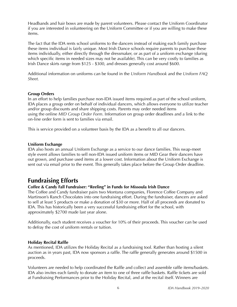Headbands and hair bows are made by parent volunteers. Please contact the Uniform Coordinator if you are interested in volunteering on the Uniform Committee or if you are willing to make these items.

The fact that the IDA rents school uniforms to the dancers instead of making each family purchase these items individual is fairly unique. Most Irish Dance schools require parents to purchase these items individually, either directly through the dressmaker, or as part of a uniform exchange (during which specific items in needed sizes may not be available). This can be very costly to families as Irish Dance skirts range from \$125 - \$300, and dresses generally cost around \$600.

Additional information on uniforms can be found in the *Uniform Handbook* and the *Uniform FAQ Sheet.* 

#### <span id="page-5-0"></span>**Group Orders**

In an effort to help families purchase non-IDA issued items required as part of the school uniform, IDA places a group order on behalf of individual dancers, which allows everyone to utilize teacher and/or group discounts and share shipping costs. Parents may order needed items using the online *MID Group Order Form*. Information on group order deadlines and a link to the on-line order form is sent to families via email.

This is service provided on a volunteer basis by the IDA as a benefit to all our dancers.

#### <span id="page-5-1"></span>**Uniform Exchange**

IDA also hosts an annual Uniform Exchange as a service to our dance families. This swap-meet style event allows families to sell non-IDA issued uniform items or MID Gear their dancers have out grown, and purchase used items at a lower cost. Information about the Uniform Exchange is sent out via email prior to the event. This generally takes place before the Group Order deadline.

## <span id="page-5-2"></span>**Fundraising Efforts**

## <span id="page-5-3"></span>**Coffee & Candy Fall Fundraiser: "Reeling" in Funds for Missoula Irish Dance**

The Coffee and Candy fundraiser pairs two Montana companies, Florence Coffee Company and Martinson's Ranch Chocolates into one fundraising effort. During the fundraiser, dancers are asked to sell at least 5 products or make a donation of \$30 or more. Half of all proceeds are donated to IDA. This has historically been a very successful fundraising effort for the school, with approximately \$2700 made last year alone.

Additionally, each student receives a voucher for 10% of their proceeds. This voucher can be used to defray the cost of uniform rentals or tuition.

#### <span id="page-5-4"></span>**Holiday Recital Raffle**

As mentioned, IDA utilizes the Holiday Recital as a fundraising tool. Rather than hosting a silent auction as in years past, IDA now sponsors a raffle. The raffle generally generates around \$1500 in proceeds.

Volunteers are needed to help coordinated the Raffle and collect and assemble raffle items/baskets. IDA also invites each family to donate an item to one of three raffle baskets. Raffle tickets are sold at Fundraising Performances prior to the Holiday Recital, and at the recital itself. Winners are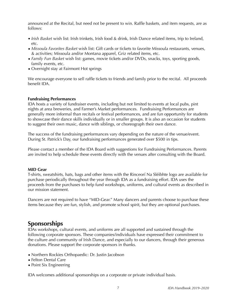announced at the Recital, but need not be present to win. Raffle baskets, and item requests, are as follows:

- *Irish Basket* wish list: Irish trinkets, Irish food & drink, Irish Dance related items, trip to Ireland, etc.
- *Missoula Favorites Basket* wish list: Gift cards or tickets to favorite Missoula restaurants, venues, & activities; Missoula and/or Montana apparel, Griz related items, etc.
- *Family Fun Basket* wish list: games, movie tickets and/or DVDs, snacks, toys, sporting goods, family events, etc.
- Overnight stay at Fairmont Hot springs

We encourage everyone to sell raffle tickets to friends and family prior to the recital. All proceeds benefit IDA.

#### <span id="page-6-0"></span>**Fundraising Performances**

IDA hosts a variety of fundraiser events, including but not limited to events at local pubs, pint nights at area breweries, and Farmer's Market performances. Fundraising Performances are generally more informal than recitals or festival performances, and are fun opportunity for students to showcase their dance skills individually or in smaller groups. It is also an occasion for students to suggest their own music, dance with siblings, or choreograph their own dance.

The success of the fundraising performances vary depending on the nature of the venue/event. During St. Patrick's Day, our fundraising performances generated over \$500 in tips.

Please contact a member of the IDA Board with suggestions for Fundraising Performances. Parents are invited to help schedule these events directly with the venues after consulting with the Board.

#### <span id="page-6-1"></span>**MID Gear**

T-shirts, sweatshirts, hats, bags and other items with the Rinceorí Na Sléibhte logo are available for purchase periodically throughout the year through IDA as a fundraising effort. IDA uses the proceeds from the purchases to help fund workshops, uniforms, and cultural events as described in our mission statement.

Dancers are not required to have "MID-Gear." Many dancers and parents choose to purchase these items because they are fun, stylish, and promote school spirit, but they are optional purchases.

## <span id="page-6-2"></span>**Sponsorships**

IDAs workshops, cultural events, and uniforms are all supported and sustained through the following corporate sponsors. These companies/individuals have expressed their commitment to the culture and community of Irish Dance, and especially to our dancers, through their generous donations. Please support the corporate sponsors in thanks.

- Northern Rockies Orthopaedic: Dr. Justin Jacobson
- Felton Dental Care
- Point Six Engineering

IDA welcomes additional sponsorships on a corporate or private individual basis.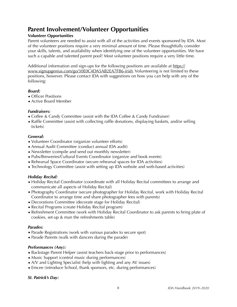## <span id="page-7-0"></span>**Parent Involvement/Volunteer Opportunities**

## <span id="page-7-1"></span>**Volunteer Opportunities**

Parent volunteers are needed to assist with all of the activities and events sponsored by IDA. Most of the volunteer positions require a very minimal amount of time. Please thoughtfully consider your skills, talents, and availability when identifying one of the volunteer opportunities. We have such a capable and talented parent pool! Most volunteer positions require a very little time.

Additional information and sign-ups for the following positions are available at [https://](https://www.signupgenius.com/go/30E0C4DA5AB2EA7FB6-irish) [www.signupgenius.com/go/30E0C4DA5AB2EA7FB6-irish](https://www.signupgenius.com/go/30E0C4DA5AB2EA7FB6-irish). Volunteering is not limited to these positions, however. Please contact IDA with suggestions on how you can help with any of the following:

## *Board:*

- Officer Positions
- Active Board Member

#### *Fundraisers:*

- Coffee & Candy Committee (assist with the IDA Coffee & Candy Fundraiser)
- Raffle Committee (assist with collecting raffle donations, displaying baskets, and/or selling tickets)

#### *General:*

- Volunteer Coordinator (organize volunteer efforts)
- Annual Audit Committee (conduct annual IDA audit)
- Newsletter (compile and send out monthly newsletter)
- Pubs/Breweries/Cultural Events Coordinator (organize and book events)
- Rehearsal Space Coordinator (secure rehearsal spaces for IDA activities)
- Technology Committee (assist with setting up IDA website and web-based activities)

## *Holiday Recital:*

- Holiday Recital Coordinator (coordinate with all Holiday Recital committees to arrange and communicate all aspects of Holiday Recital)
- Photography Coordinator (secure photographer for Holiday Recital, work with Holiday Recital Coordinator to arrange time and share photographer fees with parents)
- Decorations Committee (decorate stage for Holiday Recital)
- Recital Programs (create Holiday Recital program)
- Refreshment Committee (work with Holiday Recital Coordinator to ask parents to bring plate of cookies, set-up & man the refreshments table)

## *Parades:*

- Parade Registrations (work with various parades to secure spot)
- Parade Parents (walk with dancers during the parade)

## *Performances (Any):*

- Backstage Parent Helper (assist teachers back-stage prior to performances)
- Music Support (control music during performances)
- A/V and Lighting Specialist (help with lighting and any AV issues)
- Emcee (introduce School, thank sponsors, etc. during performances)

## *St. Patrick's Day:*